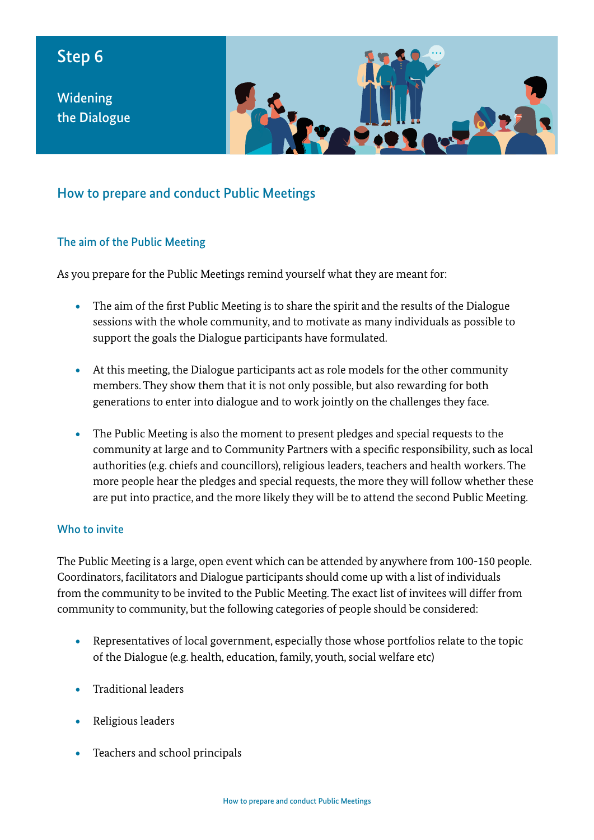# Step 6

Widening the Dialogue



## How to prepare and conduct Public Meetings

#### The aim of the Public Meeting

As you prepare for the Public Meetings remind yourself what they are meant for:

- The aim of the first Public Meeting is to share the spirit and the results of the Dialogue sessions with the whole community, and to motivate as many individuals as possible to support the goals the Dialogue participants have formulated.
- At this meeting, the Dialogue participants act as role models for the other community members. They show them that it is not only possible, but also rewarding for both generations to enter into dialogue and to work jointly on the challenges they face.
- The Public Meeting is also the moment to present pledges and special requests to the community at large and to Community Partners with a specific responsibility, such as local authorities (e.g. chiefs and councillors), religious leaders, teachers and health workers. The more people hear the pledges and special requests, the more they will follow whether these are put into practice, and the more likely they will be to attend the second Public Meeting.

#### Who to invite

The Public Meeting is a large, open event which can be attended by anywhere from 100-150 people. Coordinators, facilitators and Dialogue participants should come up with a list of individuals from the community to be invited to the Public Meeting. The exact list of invitees will differ from community to community, but the following categories of people should be considered:

- Representatives of local government, especially those whose portfolios relate to the topic of the Dialogue (e.g. health, education, family, youth, social welfare etc)
- Traditional leaders
- Religious leaders
- Teachers and school principals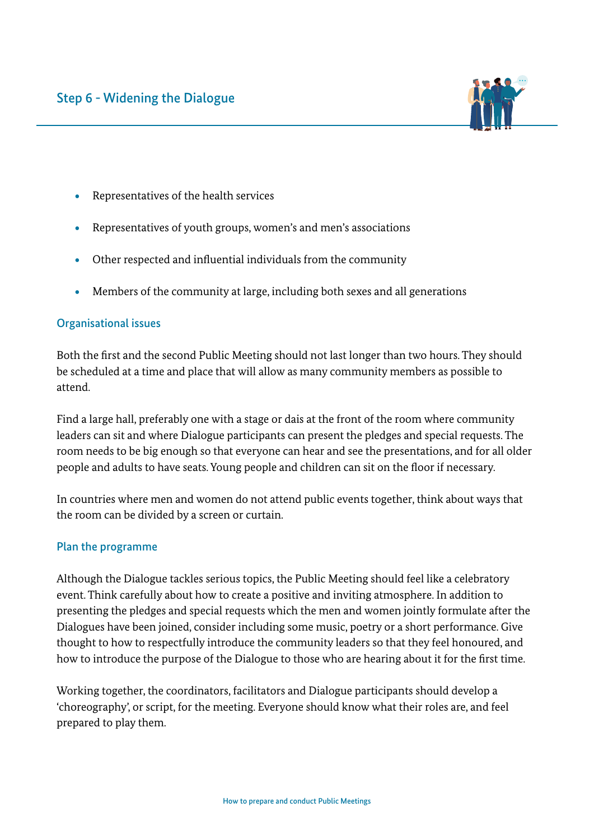

- Representatives of the health services
- Representatives of youth groups, women's and men's associations
- Other respected and influential individuals from the community
- Members of the community at large, including both sexes and all generations

#### Organisational issues

Both the first and the second Public Meeting should not last longer than two hours. They should be scheduled at a time and place that will allow as many community members as possible to attend.

Find a large hall, preferably one with a stage or dais at the front of the room where community leaders can sit and where Dialogue participants can present the pledges and special requests. The room needs to be big enough so that everyone can hear and see the presentations, and for all older people and adults to have seats. Young people and children can sit on the floor if necessary.

In countries where men and women do not attend public events together, think about ways that the room can be divided by a screen or curtain.

#### Plan the programme

Although the Dialogue tackles serious topics, the Public Meeting should feel like a celebratory event. Think carefully about how to create a positive and inviting atmosphere. In addition to presenting the pledges and special requests which the men and women jointly formulate after the Dialogues have been joined, consider including some music, poetry or a short performance. Give thought to how to respectfully introduce the community leaders so that they feel honoured, and how to introduce the purpose of the Dialogue to those who are hearing about it for the first time.

Working together, the coordinators, facilitators and Dialogue participants should develop a 'choreography', or script, for the meeting. Everyone should know what their roles are, and feel prepared to play them.